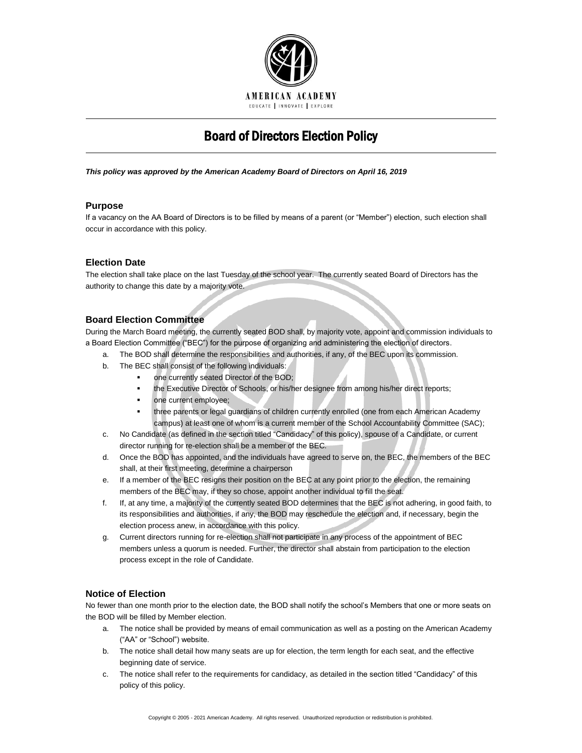

# Board of Directors Election Policy

*This policy was approved by the American Academy Board of Directors on April 16, 2019*

## **Purpose**

If a vacancy on the AA Board of Directors is to be filled by means of a parent (or "Member") election, such election shall occur in accordance with this policy.

# **Election Date**

The election shall take place on the last Tuesday of the school year. The currently seated Board of Directors has the authority to change this date by a majority vote.

# **Board Election Committee**

During the March Board meeting, the currently seated BOD shall, by majority vote, appoint and commission individuals to a Board Election Committee ("BEC") for the purpose of organizing and administering the election of directors.

- a. The BOD shall determine the responsibilities and authorities, if any, of the BEC upon its commission.
- b. The BEC shall consist of the following individuals:
	- one currently seated Director of the BOD;
	- the Executive Director of Schools, or his/her designee from among his/her direct reports;
	- one current employee;
	- three parents or legal guardians of children currently enrolled (one from each American Academy campus) at least one of whom is a current member of the School Accountability Committee (SAC);
- c. No Candidate (as defined in the section titled "Candidacy" of this policy), spouse of a Candidate, or current director running for re-election shall be a member of the BEC.
- d. Once the BOD has appointed, and the individuals have agreed to serve on, the BEC, the members of the BEC shall, at their first meeting, determine a chairperson
- e. If a member of the BEC resigns their position on the BEC at any point prior to the election, the remaining members of the BEC may, if they so chose, appoint another individual to fill the seat.
- f. If, at any time, a majority of the currently seated BOD determines that the BEC is not adhering, in good faith, to its responsibilities and authorities, if any, the BOD may reschedule the election and, if necessary, begin the election process anew, in accordance with this policy.
- g. Current directors running for re-election shall not participate in any process of the appointment of BEC members unless a quorum is needed. Further, the director shall abstain from participation to the election process except in the role of Candidate.

## **Notice of Election**

No fewer than one month prior to the election date, the BOD shall notify the school's Members that one or more seats on the BOD will be filled by Member election.

- a. The notice shall be provided by means of email communication as well as a posting on the American Academy ("AA" or "School") website.
- b. The notice shall detail how many seats are up for election, the term length for each seat, and the effective beginning date of service.
- c. The notice shall refer to the requirements for candidacy, as detailed in the section titled "Candidacy" of this policy of this policy.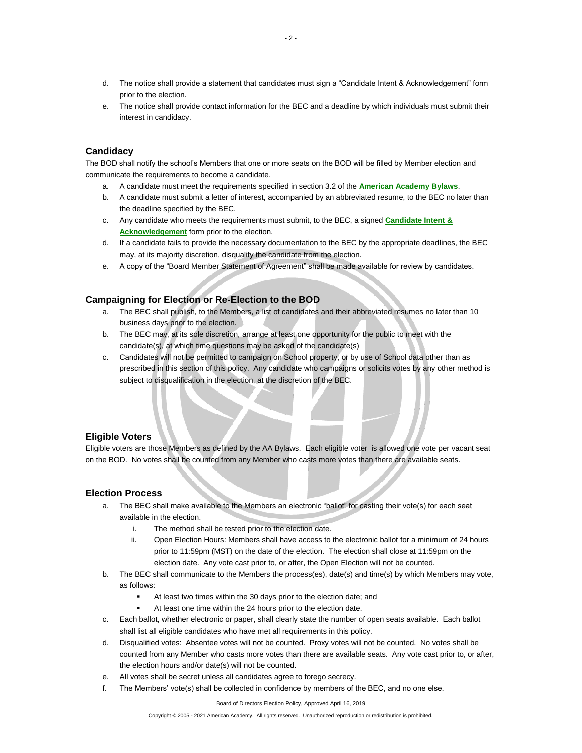- d. The notice shall provide a statement that candidates must sign a "Candidate Intent & Acknowledgement" form prior to the election.
- e. The notice shall provide contact information for the BEC and a deadline by which individuals must submit their interest in candidacy.

## **Candidacy**

The BOD shall notify the school's Members that one or more seats on the BOD will be filled by Member election and communicate the requirements to become a candidate.

- a. A candidate must meet the requirements specified in section 3.2 of the **[American Academy Bylaws](http://www.americanacademyk8.org/AADocumentServer/BOD/BODPolicies/AABylaws.pdf)**.
- b. A candidate must submit a letter of interest, accompanied by an abbreviated resume, to the BEC no later than the deadline specified by the BEC.
- c. Any candidate who meets the requirements must submit, to the BEC, a signed **[Candidate Intent &](http://www.americanacademyk8.org/aastaffhome/bod/forms/BOD/BoardMemberCandidateIntentAcknwlgmt.pdf)  [Acknowledgement](http://www.americanacademyk8.org/aastaffhome/bod/forms/BOD/BoardMemberCandidateIntentAcknwlgmt.pdf)** form prior to the election.
- d. If a candidate fails to provide the necessary documentation to the BEC by the appropriate deadlines, the BEC may, at its majority discretion, disqualify the candidate from the election.
- e. A copy of the "Board Member Statement of Agreement" shall be made available for review by candidates.

### **Campaigning for Election or Re-Election to the BOD**

- a. The BEC shall publish, to the Members, a list of candidates and their abbreviated resumes no later than 10 business days prior to the election.
- b. The BEC may, at its sole discretion, arrange at least one opportunity for the public to meet with the candidate(s), at which time questions may be asked of the candidate(s)
- c. Candidates will not be permitted to campaign on School property, or by use of School data other than as prescribed in this section of this policy. Any candidate who campaigns or solicits votes by any other method is subject to disqualification in the election, at the discretion of the BEC.

#### **Eligible Voters**

Eligible voters are those Members as defined by the AA Bylaws. Each eligible voter is allowed one vote per vacant seat on the BOD. No votes shall be counted from any Member who casts more votes than there are available seats.

#### **Election Process**

- a. The BEC shall make available to the Members an electronic "ballot" for casting their vote(s) for each seat available in the election.
	- i. The method shall be tested prior to the election date.
	- ii. Open Election Hours: Members shall have access to the electronic ballot for a minimum of 24 hours prior to 11:59pm (MST) on the date of the election. The election shall close at 11:59pm on the election date. Any vote cast prior to, or after, the Open Election will not be counted.
- b. The BEC shall communicate to the Members the process(es), date(s) and time(s) by which Members may vote, as follows:
	- At least two times within the 30 days prior to the election date; and
	- At least one time within the 24 hours prior to the election date.
- c. Each ballot, whether electronic or paper, shall clearly state the number of open seats available. Each ballot shall list all eligible candidates who have met all requirements in this policy.
- d. Disqualified votes: Absentee votes will not be counted. Proxy votes will not be counted. No votes shall be counted from any Member who casts more votes than there are available seats. Any vote cast prior to, or after, the election hours and/or date(s) will not be counted.
- e. All votes shall be secret unless all candidates agree to forego secrecy.
- f. The Members' vote(s) shall be collected in confidence by members of the BEC, and no one else.

Board of Directors Election Policy, Approved April 16, 2019